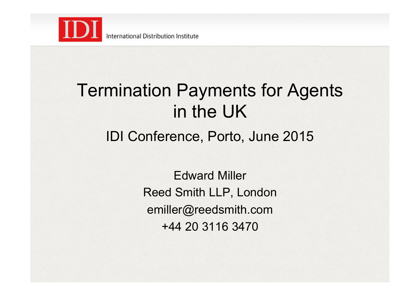

## Termination Payments for Agents in the UK IDI Conference, Porto, June 2015

Edward Miller Reed Smith LLP, London emiller@reedsmith.com +44 20 3116 3470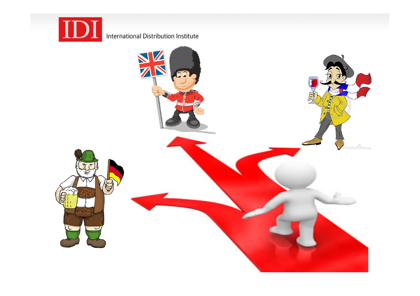

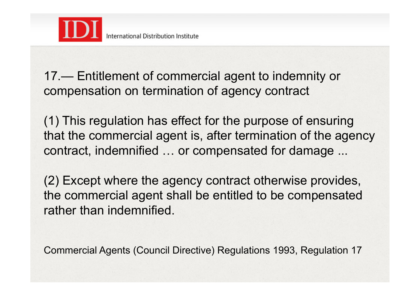

17.— Entitlement of commercial agent to indemnity or compensation on termination of agency contract

(1) This regulation has effect for the purpose of ensuring that the commercial agent is, after termination of the agency contract, indemnified … or compensated for damage ...

(2) Except where the agency contract otherwise provides, the commercial agent shall be entitled to be compensated rather than indemnified.

Commercial Agents (Council Directive) Regulations 1993, Regulation 17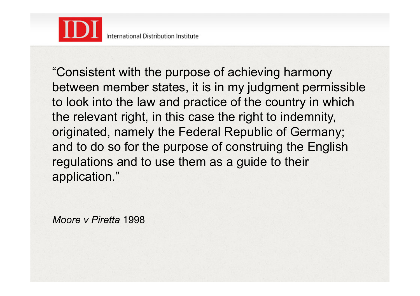

"Consistent with the purpose of achieving harmony between member states, it is in my judgment permissible to look into the law and practice of the country in which the relevant right, in this case the right to indemnity, originated, namely the Federal Republic of Germany; and to do so for the purpose of construing the English regulations and to use them as a guide to their application."

*Moore v Piretta* 1998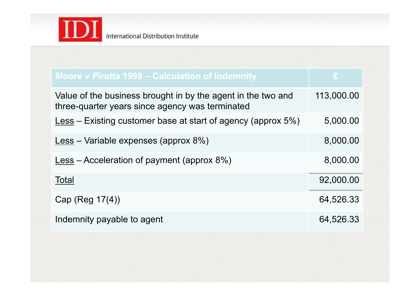

| <b>Moore v Piretta 1998 - Calculation of Indemnity</b>                                                          | £.         |
|-----------------------------------------------------------------------------------------------------------------|------------|
| Value of the business brought in by the agent in the two and<br>three-quarter years since agency was terminated | 113,000.00 |
| Less – Existing customer base at start of agency (approx $5\%$ )                                                | 5,000.00   |
| Less – Variable expenses (approx 8%)                                                                            | 8,000.00   |
| Less – Acceleration of payment (approx $8\%$ )                                                                  | 8,000.00   |
| Total                                                                                                           | 92,000.00  |
| Cap (Reg 17(4))                                                                                                 | 64,526.33  |
| Indemnity payable to agent                                                                                      | 64,526.33  |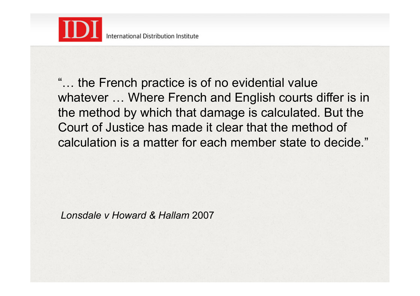

"… the French practice is of no evidential value whatever … Where French and English courts differ is in the method by which that damage is calculated. But the Court of Justice has made it clear that the method of calculation is a matter for each member state to decide."

*Lonsdale v Howard & Hallam* 2007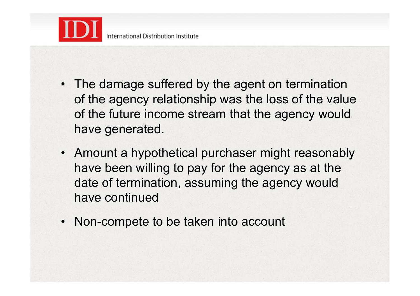

- The damage suffered by the agent on termination of the agency relationship was the loss of the value of the future income stream that the agency would have generated.
- Amount a hypothetical purchaser might reasonably have been willing to pay for the agency as at the date of termination, assuming the agency would have continued
- Non-compete to be taken into account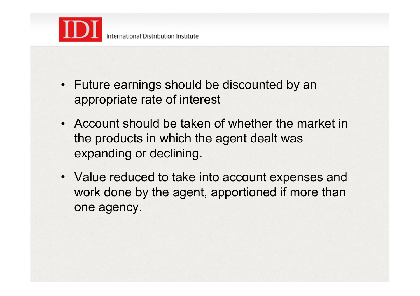

- Future earnings should be discounted by an appropriate rate of interest
- Account should be taken of whether the market in the products in which the agent dealt was expanding or declining.
- Value reduced to take into account expenses and work done by the agent, apportioned if more than one agency.